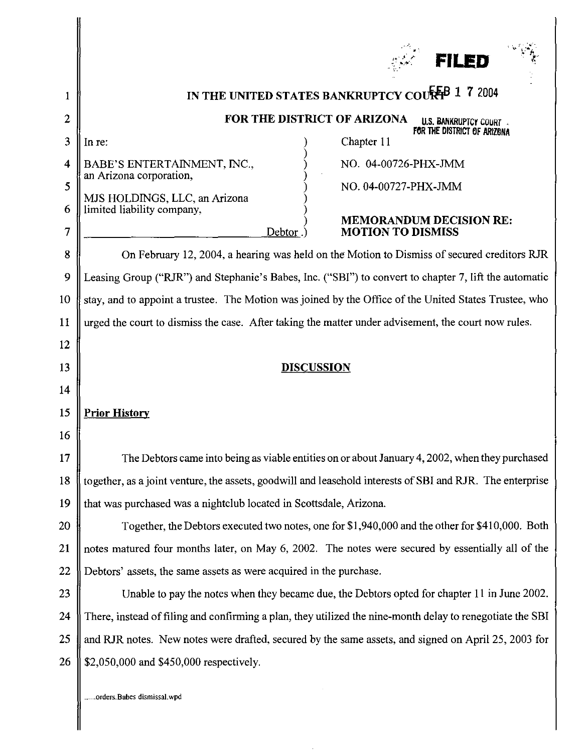|                                                                  | <b>FILED</b>                                                                                                                                                                                                                                                                                                                                                                                                                                                                                                                                                                                                                                                                                                                                                                                                                                                                                                                    |
|------------------------------------------------------------------|---------------------------------------------------------------------------------------------------------------------------------------------------------------------------------------------------------------------------------------------------------------------------------------------------------------------------------------------------------------------------------------------------------------------------------------------------------------------------------------------------------------------------------------------------------------------------------------------------------------------------------------------------------------------------------------------------------------------------------------------------------------------------------------------------------------------------------------------------------------------------------------------------------------------------------|
| 1<br>2<br>3<br>$\overline{\bf 4}$<br>5<br>6<br>7<br>8<br>9<br>10 | IN THE UNITED STATES BANKRUPTCY COUR <sup>E</sup> B 1 7 2004<br>FOR THE DISTRICT OF ARIZONA<br><b>U.S. BANKRUPTCY COURT .</b><br>FOR THE DISTRICT OF ARIZONA<br>Chapter 11<br>In re:<br>BABE'S ENTERTAINMENT, INC.,<br>NO. 04-00726-PHX-JMM<br>an Arizona corporation,<br>NO. 04-00727-PHX-JMM<br>MJS HOLDINGS, LLC, an Arizona<br>limited liability company,<br><b>MEMORANDUM DECISION RE:</b><br>Debtor.<br><b>MOTION TO DISMISS</b><br>On February 12, 2004, a hearing was held on the Motion to Dismiss of secured creditors RJR<br>Leasing Group ("RJR") and Stephanie's Babes, Inc. ("SBI") to convert to chapter 7, lift the automatic<br>stay, and to appoint a trustee. The Motion was joined by the Office of the United States Trustee, who                                                                                                                                                                          |
| 11<br>12<br>13<br>14<br>15<br>16                                 | urged the court to dismiss the case. After taking the matter under advisement, the court now rules.<br><b>DISCUSSION</b><br><b>Prior History</b>                                                                                                                                                                                                                                                                                                                                                                                                                                                                                                                                                                                                                                                                                                                                                                                |
| 17<br>18<br>19<br>20<br>21<br>22<br>23<br>24<br>25<br>26         | The Debtors came into being as viable entities on or about January 4, 2002, when they purchased<br>together, as a joint venture, the assets, goodwill and leasehold interests of SBI and RJR. The enterprise<br>that was purchased was a nightclub located in Scottsdale, Arizona.<br>Together, the Debtors executed two notes, one for \$1,940,000 and the other for \$410,000. Both<br>notes matured four months later, on May 6, 2002. The notes were secured by essentially all of the<br>Debtors' assets, the same assets as were acquired in the purchase.<br>Unable to pay the notes when they became due, the Debtors opted for chapter 11 in June 2002.<br>There, instead of filing and confirming a plan, they utilized the nine-month delay to renegotiate the SBI<br>and RJR notes. New notes were drafted, secured by the same assets, and signed on April 25, 2003 for<br>\$2,050,000 and \$450,000 respectively. |
|                                                                  |                                                                                                                                                                                                                                                                                                                                                                                                                                                                                                                                                                                                                                                                                                                                                                                                                                                                                                                                 |

.... orders.Babes dismissal.wpd

∥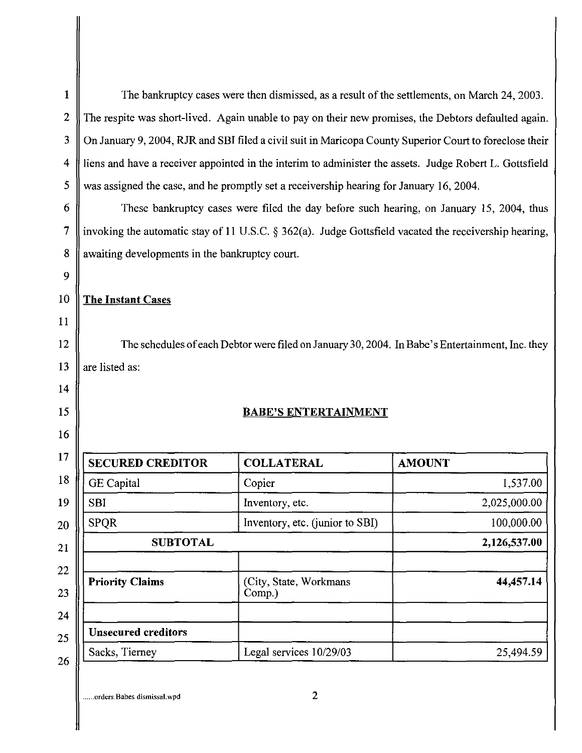| The bankruptcy cases were then dismissed, as a result of the settlements, on March 24, 2003.              |                                 |               |  |  |
|-----------------------------------------------------------------------------------------------------------|---------------------------------|---------------|--|--|
| The respite was short-lived. Again unable to pay on their new promises, the Debtors defaulted again.      |                                 |               |  |  |
| On January 9, 2004, RJR and SBI filed a civil suit in Maricopa County Superior Court to foreclose their   |                                 |               |  |  |
| liens and have a receiver appointed in the interim to administer the assets. Judge Robert L. Gottsfield   |                                 |               |  |  |
| was assigned the case, and he promptly set a receivership hearing for January 16, 2004.                   |                                 |               |  |  |
| These bankruptcy cases were filed the day before such hearing, on January 15, 2004, thus                  |                                 |               |  |  |
| invoking the automatic stay of 11 U.S.C. $\S 362(a)$ . Judge Gottsfield vacated the receivership hearing, |                                 |               |  |  |
| awaiting developments in the bankruptcy court.                                                            |                                 |               |  |  |
|                                                                                                           |                                 |               |  |  |
| <b>The Instant Cases</b>                                                                                  |                                 |               |  |  |
|                                                                                                           |                                 |               |  |  |
|                                                                                                           |                                 |               |  |  |
| The schedules of each Debtor were filed on January 30, 2004. In Babe's Entertainment, Inc. they           |                                 |               |  |  |
|                                                                                                           |                                 |               |  |  |
| are listed as:                                                                                            |                                 |               |  |  |
|                                                                                                           |                                 |               |  |  |
|                                                                                                           | <b>BABE'S ENTERTAINMENT</b>     |               |  |  |
|                                                                                                           |                                 |               |  |  |
| <b>SECURED CREDITOR</b>                                                                                   | <b>COLLATERAL</b>               | <b>AMOUNT</b> |  |  |
| <b>GE</b> Capital                                                                                         | Copier                          | 1,537.00      |  |  |
| <b>SBI</b>                                                                                                | Inventory, etc.                 | 2,025,000.00  |  |  |
| <b>SPQR</b>                                                                                               | Inventory, etc. (junior to SBI) | 100,000.00    |  |  |
| <b>SUBTOTAL</b>                                                                                           |                                 | 2,126,537.00  |  |  |
| <b>Priority Claims</b>                                                                                    | (City, State, Workmans          | 44,457.14     |  |  |
|                                                                                                           | Comp.)                          |               |  |  |
| <b>Unsecured creditors</b>                                                                                |                                 |               |  |  |

**...... orders.Babes dismissal.wpd** 2

ľ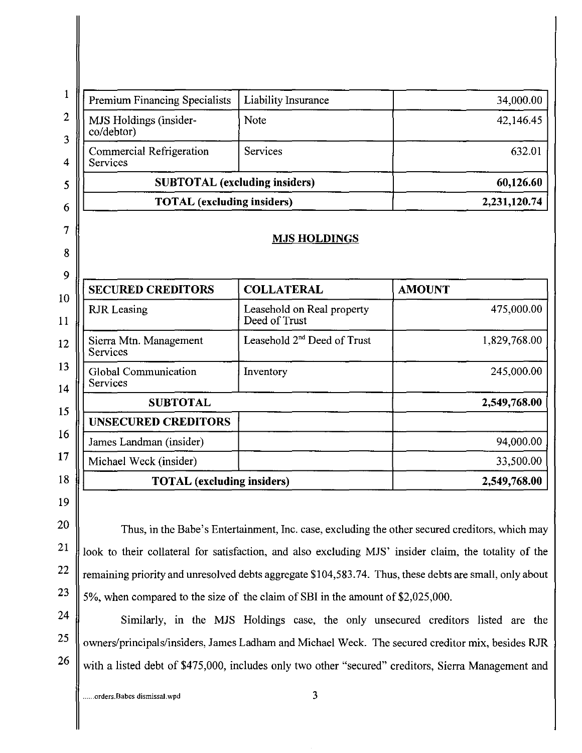| <b>Premium Financing Specialists</b>           | Liability Insurance                             | 34,000.00                  |
|------------------------------------------------|-------------------------------------------------|----------------------------|
| MJS Holdings (insider-<br>co/debtor)           | Note                                            | 42,146.45                  |
| Commercial Refrigeration<br>Services           | <b>Services</b>                                 | 632.01                     |
| <b>SUBTOTAL</b> (excluding insiders)           | 60,126.60                                       |                            |
| <b>TOTAL</b> (excluding insiders)              |                                                 | 2,231,120.74               |
|                                                |                                                 |                            |
|                                                | <b>MJS HOLDINGS</b>                             |                            |
|                                                |                                                 |                            |
| <b>SECURED CREDITORS</b><br><b>RJR</b> Leasing | <b>COLLATERAL</b><br>Leasehold on Real property | <b>AMOUNT</b>              |
|                                                | Deed of Trust                                   |                            |
| Sierra Mtn. Management<br>Services             | Leasehold 2 <sup>nd</sup> Deed of Trust         | 475,000.00<br>1,829,768.00 |
| Global Communication<br>Services               | Inventory                                       | 245,000.00                 |
| <b>SUBTOTAL</b>                                |                                                 | 2,549,768.00               |
| <b>UNSECURED CREDITORS</b>                     |                                                 |                            |
| James Landman (insider)                        |                                                 | 94,000.00                  |
| Michael Weck (insider)                         |                                                 | 33,500.00                  |

Thus, in the Babe's Entertainment, Inc. case, excluding the other secured creditors, which may look to their collateral for satisfaction, and also excluding MJS' insider claim, the totality of the remaining priority and unresolved debts aggregate \$104,583.74. Thus, these debts are small, only about 5%, when compared to the size of the claim of SBI in the amount of \$2,025,000.

24 25 26 Similarly, in the MJS Holdings **case,** the only unsecured creditors listed are the owners/principals/insiders, James Ladham and Michael Week. The secured creditor mix, besides RJR with a listed debt of \$475,000, includes only two other "secured" creditors, Sierra Management and

20

21

22

23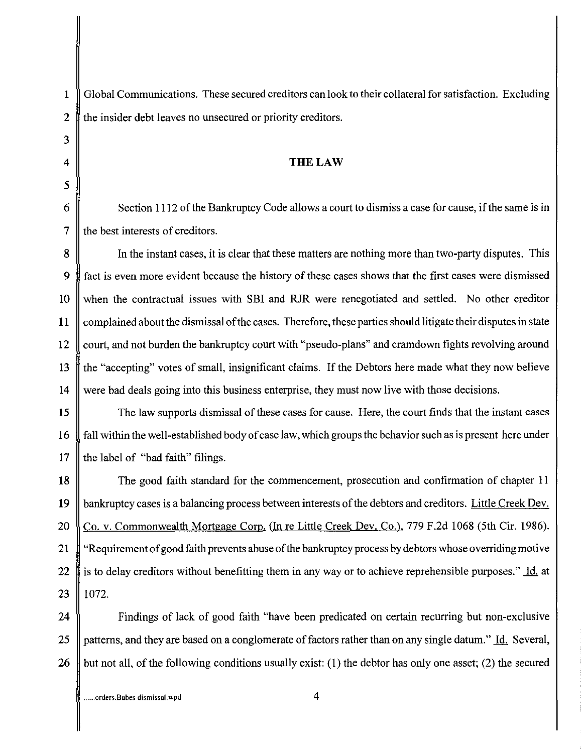3 5

1 Global Communications. These secured creditors can look to their collateral for satisfaction. Excluding 2 the insider debt leaves no unsecured or priority creditors.

## 4 **THELAW**

6  $\parallel$  Section 1112 of the Bankruptcy Code allows a court to dismiss a case for cause, if the same is in 7  $\parallel$  the best interests of creditors.

8 In the instant cases, it is clear that these matters are nothing more than two-party disputes. This 9 fact is even more evident because the history of these cases shows that the first cases were dismissed 10 when the contractual issues with SBI and RJR were renegotiated and settled. No other creditor 11 complained about the dismissal of the cases. Therefore, these parties should litigate their disputes in state 12 court, and not burden the bankruptcy court with "pseudo-plans" and cramdown fights revolving around 13 the "accepting" votes of small, insignificant claims. If the Debtors here made what they now believe 14 were bad deals going into this business enterprise, they must now live with those decisions.

15 The law supports dismissal of these cases for cause. Here, the court finds that the instant cases 16 fall within the well-established body of case law, which groups the behavior such as is present here under 17  $\parallel$  the label of "bad faith" filings.

18 The good faith standard for the commencement, prosecution and confirmation of chapter 11 19 bankruptcy cases is a balancing process between interests of the debtors and creditors. Little Creek Dev. 20 Co. v. Commonwealth Mortgage Corp. (In re Little Creek Dev. Co.), 779 F.2d 1068 (5th Cir. 1986). 21 | "Requirement of good faith prevents abuse of the bankruptcy process by debtors whose overriding motive 22 is to delay creditors without benefitting them in any way or to achieve reprehensible purposes." Id. at  $23$  | 1072.

24 **Findings** of lack of good faith "have been predicated on certain recurring but non-exclusive 25 || patterns, and they are based on a conglomerate of factors rather than on any single datum." Id. Several, 26 but not all, of the following conditions usually exist: (1) the debtor has only one asset; (2) the secured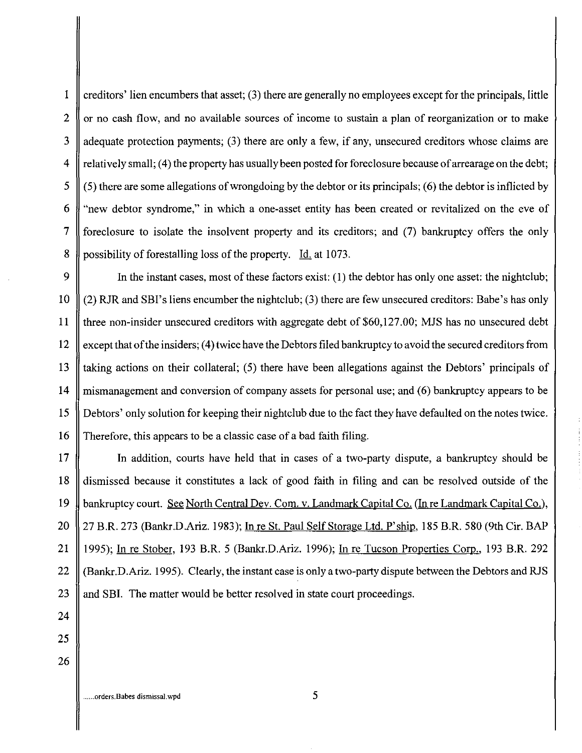1 creditors' lien encumbers that asset; (3) there are generally no employees except for the principals, little 2  $\parallel$  or no cash flow, and no available sources of income to sustain a plan of reorganization or to make 3  $\parallel$  adequate protection payments; (3) there are only a few, if any, unsecured creditors whose claims are 4  $\parallel$  relatively small; (4) the property has usually been posted for foreclosure because of arrearage on the debt; 5  $\parallel$  (5) there are some allegations of wrongdoing by the debtor or its principals; (6) the debtor is inflicted by 6 "new debtor syndrome," in which a one-asset entity has been created or revitalized on the eve of 7 foreclosure to isolate the insolvent property and its creditors; and (7) bankruptcy offers the only 8 possibility of forestalling loss of the property. Id. at 1073.

9 In the instant cases, most of these factors exist: (1) the debtor has only one asset: the nightclub; 10  $\parallel$  (2) RJR and SBI's liens encumber the nightclub; (3) there are few unsecured creditors: Babe's has only 11 three non-insider unsecured creditors with aggregate debt of \$60,127.00; MJS has no unsecured debt 12  $\parallel$  except that of the insiders; (4) twice have the Debtors filed bankruptcy to avoid the secured creditors from 13  $\parallel$  taking actions on their collateral; (5) there have been allegations against the Debtors' principals of 14 mismanagement and conversion of company assets for personal use; and (6) bankruptcy appears to be 15 Debtors' only solution for keeping their nightclub due to the fact they have defaulted on the notes twice. 16 Therefore, this appears to be a classic case of a bad faith filing.

17 In addition, courts have held that in cases of a two-party dispute, a bankruptcy should be 18 dismissed because it constitutes a lack of good faith in filing and can be resolved outside of the 19 bankruptcy court. See North Central Dev. Com. v. Landmark Capital Co. (In re Landmark Capital Co.), 20 27 B.R. 273 (Bankr.D.Ariz. 1983); In re St. Paul Self Storage Ltd. P'ship. 185 B.R. 580 (9th Cir. BAP 21 || 1995); In re Stober, 193 B.R. 5 (Bankr.D.Ariz. 1996); In re Tucson Properties Corp., 193 B.R. 292 22  $\parallel$  (Bankr.D.Ariz. 1995). Clearly, the instant case is only a two-party dispute between the Debtors and RJS 23 || and SBI. The matter would be better resolved in state court proceedings.

24 25

26

**...... orders.Babes dismissal.wpd** 5